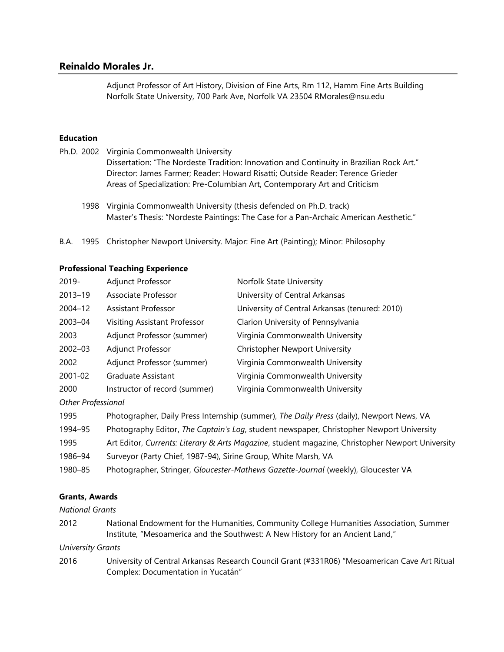# **Reinaldo Morales Jr.**

Adjunct Professor of Art History, Division of Fine Arts, Rm 112, Hamm Fine Arts Building Norfolk State University, 700 Park Ave, Norfolk VA 23504 RMorales@nsu.edu

### **Education**

- Ph.D. 2002 Virginia Commonwealth University Dissertation: "The Nordeste Tradition: Innovation and Continuity in Brazilian Rock Art." Director: James Farmer; Reader: Howard Risatti; Outside Reader: Terence Grieder Areas of Specialization: Pre-Columbian Art, Contemporary Art and Criticism
	- 1998 Virginia Commonwealth University (thesis defended on Ph.D. track) Master's Thesis: "Nordeste Paintings: The Case for a Pan-Archaic American Aesthetic."
- B.A. 1995 Christopher Newport University. Major: Fine Art (Painting); Minor: Philosophy

## **Professional Teaching Experience**

| 2019-   | Adjunct Professor             | Norfolk State University                       |
|---------|-------------------------------|------------------------------------------------|
| 2013-19 | Associate Professor           | University of Central Arkansas                 |
| 2004-12 | Assistant Professor           | University of Central Arkansas (tenured: 2010) |
| 2003-04 | Visiting Assistant Professor  | Clarion University of Pennsylvania             |
| 2003    | Adjunct Professor (summer)    | Virginia Commonwealth University               |
| 2002-03 | Adjunct Professor             | <b>Christopher Newport University</b>          |
| 2002    | Adjunct Professor (summer)    | Virginia Commonwealth University               |
| 2001-02 | Graduate Assistant            | Virginia Commonwealth University               |
| 2000    | Instructor of record (summer) | Virginia Commonwealth University               |
|         |                               |                                                |

### *Other Professional*

| 1995    | Photographer, Daily Press Internship (summer), The Daily Press (daily), Newport News, VA         |
|---------|--------------------------------------------------------------------------------------------------|
| 1994–95 | Photography Editor, The Captain's Log, student newspaper, Christopher Newport University         |
| 1995    | Art Editor, Currents: Literary & Arts Magazine, student magazine, Christopher Newport University |
| 1986–94 | Surveyor (Party Chief, 1987-94), Sirine Group, White Marsh, VA                                   |
| 1980-85 | Photographer, Stringer, Gloucester-Mathews Gazette-Journal (weekly), Gloucester VA               |

### **Grants, Awards**

*National Grants*

2012 National Endowment for the Humanities, Community College Humanities Association, Summer Institute, "Mesoamerica and the Southwest: A New History for an Ancient Land,"

*University Grants*

2016 University of Central Arkansas Research Council Grant (#331R06) "Mesoamerican Cave Art Ritual Complex: Documentation in Yucatán"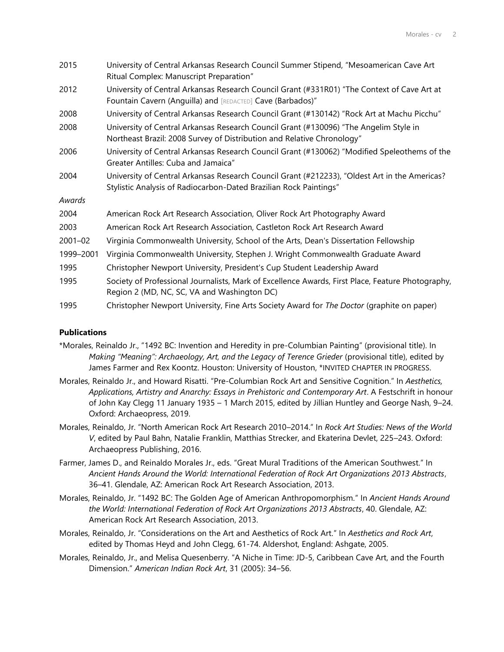| 2015        | University of Central Arkansas Research Council Summer Stipend, "Mesoamerican Cave Art<br>Ritual Complex: Manuscript Preparation"                                  |
|-------------|--------------------------------------------------------------------------------------------------------------------------------------------------------------------|
| 2012        | University of Central Arkansas Research Council Grant (#331R01) "The Context of Cave Art at<br>Fountain Cavern (Anguilla) and [REDACTED] Cave (Barbados)"          |
| 2008        | University of Central Arkansas Research Council Grant (#130142) "Rock Art at Machu Picchu"                                                                         |
| 2008        | University of Central Arkansas Research Council Grant (#130096) "The Angelim Style in<br>Northeast Brazil: 2008 Survey of Distribution and Relative Chronology"    |
| 2006        | University of Central Arkansas Research Council Grant (#130062) "Modified Speleothems of the<br>Greater Antilles: Cuba and Jamaica"                                |
| 2004        | University of Central Arkansas Research Council Grant (#212233), "Oldest Art in the Americas?<br>Stylistic Analysis of Radiocarbon-Dated Brazilian Rock Paintings" |
| Awards      |                                                                                                                                                                    |
| 2004        | American Rock Art Research Association, Oliver Rock Art Photography Award                                                                                          |
| 2003        | American Rock Art Research Association, Castleton Rock Art Research Award                                                                                          |
| $2001 - 02$ | Virginia Commonwealth University, School of the Arts, Dean's Dissertation Fellowship                                                                               |
| 1999-2001   | Virginia Commonwealth University, Stephen J. Wright Commonwealth Graduate Award                                                                                    |
| 1995        | Christopher Newport University, President's Cup Student Leadership Award                                                                                           |
| 1995        | Society of Professional Journalists, Mark of Excellence Awards, First Place, Feature Photography,<br>Region 2 (MD, NC, SC, VA and Washington DC)                   |
| 1995        | Christopher Newport University, Fine Arts Society Award for The Doctor (graphite on paper)                                                                         |

### **Publications**

- \*Morales, Reinaldo Jr., "1492 BC: Invention and Heredity in pre-Columbian Painting" (provisional title). In *Making "Meaning": Archaeology, Art, and the Legacy of Terence Grieder* (provisional title), edited by James Farmer and Rex Koontz. Houston: University of Houston, \*INVITED CHAPTER IN PROGRESS.
- Morales, Reinaldo Jr., and Howard Risatti. "Pre-Columbian Rock Art and Sensitive Cognition." In *Aesthetics, Applications, Artistry and Anarchy: Essays in Prehistoric and Contemporary Art*. A Festschrift in honour of John Kay Clegg 11 January 1935 – 1 March 2015, edited by Jillian Huntley and George Nash, 9–24. Oxford: Archaeopress, 2019.
- Morales, Reinaldo, Jr. "North American Rock Art Research 2010–2014." In *Rock Art Studies: News of the World V*, edited by Paul Bahn, Natalie Franklin, Matthias Strecker, and Ekaterina Devlet, 225–243. Oxford: Archaeopress Publishing, 2016.
- Farmer, James D., and Reinaldo Morales Jr., eds. "Great Mural Traditions of the American Southwest." In *Ancient Hands Around the World: International Federation of Rock Art Organizations 2013 Abstracts*, 36–41. Glendale, AZ: American Rock Art Research Association, 2013.
- Morales, Reinaldo, Jr. "1492 BC: The Golden Age of American Anthropomorphism." In *Ancient Hands Around the World: International Federation of Rock Art Organizations 2013 Abstracts*, 40. Glendale, AZ: American Rock Art Research Association, 2013.
- Morales, Reinaldo, Jr. "Considerations on the Art and Aesthetics of Rock Art." In *Aesthetics and Rock Art*, edited by Thomas Heyd and John Clegg, 61-74. Aldershot, England: Ashgate, 2005.
- Morales, Reinaldo, Jr., and Melisa Quesenberry. "A Niche in Time: JD-5, Caribbean Cave Art, and the Fourth Dimension." *American Indian Rock Art*, 31 (2005): 34–56.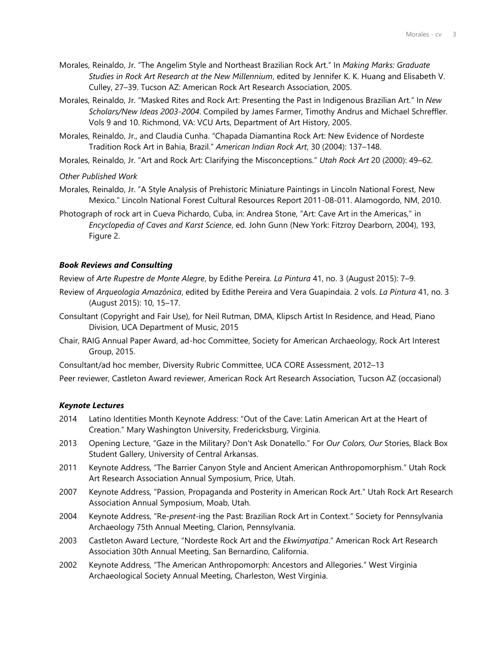- Morales, Reinaldo, Jr. "The Angelim Style and Northeast Brazilian Rock Art." In *Making Marks: Graduate Studies in Rock Art Research at the New Millennium*, edited by Jennifer K. K. Huang and Elisabeth V. Culley, 27–39. Tucson AZ: American Rock Art Research Association, 2005.
- Morales, Reinaldo, Jr. "Masked Rites and Rock Art: Presenting the Past in Indigenous Brazilian Art." In *New Scholars/New Ideas 2003-2004*. Compiled by James Farmer, Timothy Andrus and Michael Schreffler. Vols 9 and 10. Richmond, VA: VCU Arts, Department of Art History, 2005.
- Morales, Reinaldo, Jr., and Claudia Cunha. "Chapada Diamantina Rock Art: New Evidence of Nordeste Tradition Rock Art in Bahia, Brazil." *American Indian Rock Art*, 30 (2004): 137–148.
- Morales, Reinaldo, Jr. "Art and Rock Art: Clarifying the Misconceptions." *Utah Rock Art* 20 (2000): 49–62.

#### *Other Published Work*

- Morales, Reinaldo, Jr. "A Style Analysis of Prehistoric Miniature Paintings in Lincoln National Forest, New Mexico." Lincoln National Forest Cultural Resources Report 2011-08-011. Alamogordo, NM, 2010.
- Photograph of rock art in Cueva Pichardo, Cuba, in: Andrea Stone, "Art: Cave Art in the Americas," in *Encyclopedia of Caves and Karst Science*, ed. John Gunn (New York: Fitzroy Dearborn, 2004), 193, Figure 2.

#### *Book Reviews and Consulting*

Review of *Arte Rupestre de Monte Alegre*, by Edithe Pereira. *La Pintura* 41, no. 3 (August 2015): 7–9.

- Review of *Arqueologia Amazônica*, edited by Edithe Pereira and Vera Guapindaia. 2 vols. *La Pintura* 41, no. 3 (August 2015): 10, 15–17.
- Consultant (Copyright and Fair Use), for Neil Rutman, DMA, Klipsch Artist In Residence, and Head, Piano Division, UCA Department of Music, 2015
- Chair, RAIG Annual Paper Award, ad-hoc Committee, Society for American Archaeology, Rock Art Interest Group, 2015.
- Consultant/ad hoc member, Diversity Rubric Committee, UCA CORE Assessment, 2012–13

Peer reviewer, Castleton Award reviewer, American Rock Art Research Association, Tucson AZ (occasional)

#### *Keynote Lectures*

- 2014 Latino Identities Month Keynote Address: "Out of the Cave: Latin American Art at the Heart of Creation." Mary Washington University, Fredericksburg, Virginia.
- 2013 Opening Lecture, "Gaze in the Military? Don't Ask Donatello." For *Our Colors, Our* Stories, Black Box Student Gallery, University of Central Arkansas.
- 2011 Keynote Address, "The Barrier Canyon Style and Ancient American Anthropomorphism." Utah Rock Art Research Association Annual Symposium, Price, Utah.
- 2007 Keynote Address, "Passion, Propaganda and Posterity in American Rock Art." Utah Rock Art Research Association Annual Symposium, Moab, Utah.
- 2004 Keynote Address, "Re-*present*-ing the Past: Brazilian Rock Art in Context." Society for Pennsylvania Archaeology 75th Annual Meeting, Clarion, Pennsylvania.
- 2003 Castleton Award Lecture, "Nordeste Rock Art and the *Ekwimyatipa*." American Rock Art Research Association 30th Annual Meeting, San Bernardino, California.
- 2002 Keynote Address, "The American Anthropomorph: Ancestors and Allegories." West Virginia Archaeological Society Annual Meeting, Charleston, West Virginia.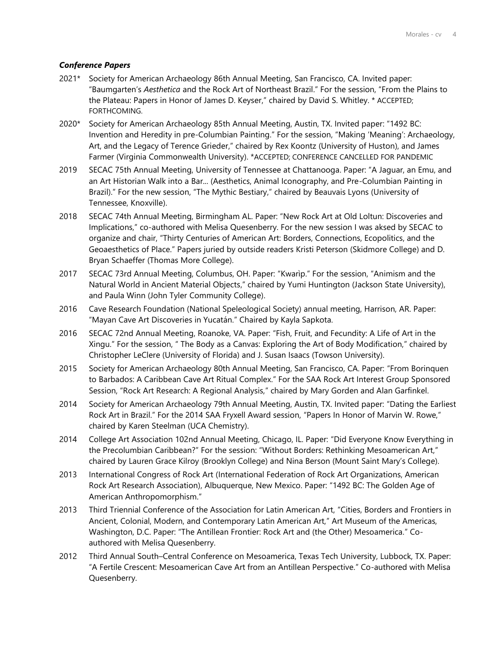## *Conference Papers*

- 2021\* Society for American Archaeology 86th Annual Meeting, San Francisco, CA. Invited paper: "Baumgarten's *Aesthetica* and the Rock Art of Northeast Brazil." For the session, "From the Plains to the Plateau: Papers in Honor of James D. Keyser," chaired by David S. Whitley. \* ACCEPTED; FORTHCOMING.
- 2020\* Society for American Archaeology 85th Annual Meeting, Austin, TX. Invited paper: "1492 BC: Invention and Heredity in pre-Columbian Painting." For the session, "Making 'Meaning': Archaeology, Art, and the Legacy of Terence Grieder," chaired by Rex Koontz (University of Huston), and James Farmer (Virginia Commonwealth University). \*ACCEPTED; CONFERENCE CANCELLED FOR PANDEMIC
- 2019 SECAC 75th Annual Meeting, University of Tennessee at Chattanooga. Paper: "A Jaguar, an Emu, and an Art Historian Walk into a Bar... (Aesthetics, Animal Iconography, and Pre-Columbian Painting in Brazil)." For the new session, "The Mythic Bestiary," chaired by Beauvais Lyons (University of Tennessee, Knoxville).
- 2018 SECAC 74th Annual Meeting, Birmingham AL. Paper: "New Rock Art at Old Loltun: Discoveries and Implications," co-authored with Melisa Quesenberry. For the new session I was aksed by SECAC to organize and chair, "Thirty Centuries of American Art: Borders, Connections, Ecopolitics, and the Geoaesthetics of Place." Papers juried by outside readers Kristi Peterson (Skidmore College) and D. Bryan Schaeffer (Thomas More College).
- 2017 SECAC 73rd Annual Meeting, Columbus, OH. Paper: "Kwarìp." For the session, "Animism and the Natural World in Ancient Material Objects," chaired by Yumi Huntington (Jackson State University), and Paula Winn (John Tyler Community College).
- 2016 Cave Research Foundation (National Speleological Society) annual meeting, Harrison, AR. Paper: "Mayan Cave Art Discoveries in Yucatán." Chaired by Kayla Sapkota.
- 2016 SECAC 72nd Annual Meeting, Roanoke, VA. Paper: "Fish, Fruit, and Fecundity: A Life of Art in the Xingu." For the session, " The Body as a Canvas: Exploring the Art of Body Modification," chaired by Christopher LeClere (University of Florida) and J. Susan Isaacs (Towson University).
- 2015 Society for American Archaeology 80th Annual Meeting, San Francisco, CA. Paper: "From Borinquen to Barbados: A Caribbean Cave Art Ritual Complex." For the SAA Rock Art Interest Group Sponsored Session, "Rock Art Research: A Regional Analysis," chaired by Mary Gorden and Alan Garfinkel.
- 2014 Society for American Archaeology 79th Annual Meeting, Austin, TX. Invited paper: "Dating the Earliest Rock Art in Brazil." For the 2014 SAA Fryxell Award session, "Papers In Honor of Marvin W. Rowe," chaired by Karen Steelman (UCA Chemistry).
- 2014 College Art Association 102nd Annual Meeting, Chicago, IL. Paper: "Did Everyone Know Everything in the Precolumbian Caribbean?" For the session: "Without Borders: Rethinking Mesoamerican Art," chaired by Lauren Grace Kilroy (Brooklyn College) and Nina Berson (Mount Saint Mary's College).
- 2013 International Congress of Rock Art (International Federation of Rock Art Organizations, American Rock Art Research Association), Albuquerque, New Mexico. Paper: "1492 BC: The Golden Age of American Anthropomorphism."
- 2013 Third Triennial Conference of the Association for Latin American Art, "Cities, Borders and Frontiers in Ancient, Colonial, Modern, and Contemporary Latin American Art," Art Museum of the Americas, Washington, D.C. Paper: "The Antillean Frontier: Rock Art and (the Other) Mesoamerica." Coauthored with Melisa Quesenberry.
- 2012 Third Annual South–Central Conference on Mesoamerica, Texas Tech University, Lubbock, TX. Paper: "A Fertile Crescent: Mesoamerican Cave Art from an Antillean Perspective." Co-authored with Melisa Quesenberry.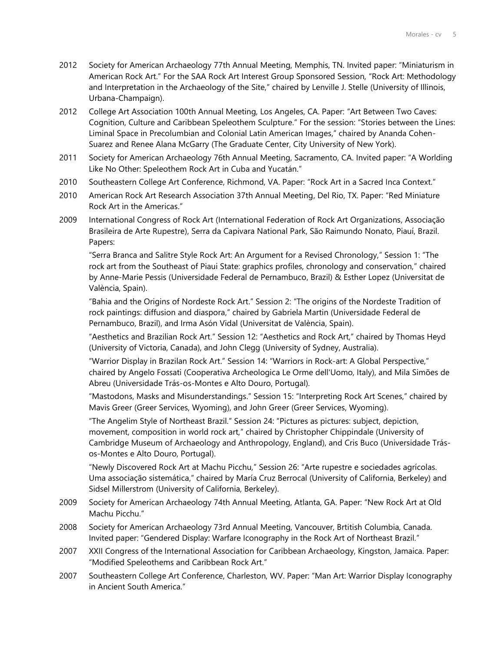- 2012 Society for American Archaeology 77th Annual Meeting, Memphis, TN. Invited paper: "Miniaturism in American Rock Art." For the SAA Rock Art Interest Group Sponsored Session, "Rock Art: Methodology and Interpretation in the Archaeology of the Site," chaired by Lenville J. Stelle (University of Illinois, Urbana-Champaign).
- 2012 College Art Association 100th Annual Meeting, Los Angeles, CA. Paper: "Art Between Two Caves: Cognition, Culture and Caribbean Speleothem Sculpture." For the session: "Stories between the Lines: Liminal Space in Precolumbian and Colonial Latin American Images," chaired by Ananda Cohen-Suarez and Renee Alana McGarry (The Graduate Center, City University of New York).
- 2011 Society for American Archaeology 76th Annual Meeting, Sacramento, CA. Invited paper: "A Worlding Like No Other: Speleothem Rock Art in Cuba and Yucatán."
- 2010 Southeastern College Art Conference, Richmond, VA. Paper: "Rock Art in a Sacred Inca Context."
- 2010 American Rock Art Research Association 37th Annual Meeting, Del Rio, TX. Paper: "Red Miniature Rock Art in the Americas."
- 2009 International Congress of Rock Art (International Federation of Rock Art Organizations, Associação Brasileira de Arte Rupestre), Serra da Capivara National Park, São Raimundo Nonato, Piauí, Brazil. Papers:

"Serra Branca and Salitre Style Rock Art: An Argument for a Revised Chronology," Session 1: "The rock art from the Southeast of Piaui State: graphics profiles, chronology and conservation," chaired by Anne-Marie Pessis (Universidade Federal de Pernambuco, Brazil) & Esther Lopez (Universitat de València, Spain).

"Bahia and the Origins of Nordeste Rock Art." Session 2: "The origins of the Nordeste Tradition of rock paintings: diffusion and diaspora," chaired by Gabriela Martin (Universidade Federal de Pernambuco, Brazil), and Irma Asón Vidal (Universitat de València, Spain).

"Aesthetics and Brazilian Rock Art." Session 12: "Aesthetics and Rock Art," chaired by Thomas Heyd (University of Victoria, Canada), and John Clegg (University of Sydney, Australia).

"Warrior Display in Brazilan Rock Art." Session 14: "Warriors in Rock-art: A Global Perspective," chaired by Angelo Fossati (Cooperativa Archeologica Le Orme dell'Uomo, Italy), and Mila Simões de Abreu (Universidade Trás-os-Montes e Alto Douro, Portugal).

"Mastodons, Masks and Misunderstandings." Session 15: "Interpreting Rock Art Scenes," chaired by Mavis Greer (Greer Services, Wyoming), and John Greer (Greer Services, Wyoming).

"The Angelim Style of Northeast Brazil." Session 24: "Pictures as pictures: subject, depiction, movement, composition in world rock art," chaired by Christopher Chippindale (University of Cambridge Museum of Archaeology and Anthropology, England), and Cris Buco (Universidade Trásos-Montes e Alto Douro, Portugal).

"Newly Discovered Rock Art at Machu Picchu," Session 26: "Arte rupestre e sociedades agrícolas. Uma associação sistemática," chaired by María Cruz Berrocal (University of California, Berkeley) and Sidsel Millerstrom (University of California, Berkeley).

- 2009 Society for American Archaeology 74th Annual Meeting, Atlanta, GA. Paper: "New Rock Art at Old Machu Picchu."
- 2008 Society for American Archaeology 73rd Annual Meeting, Vancouver, Brtitish Columbia, Canada. Invited paper: "Gendered Display: Warfare Iconography in the Rock Art of Northeast Brazil."
- 2007 XXII Congress of the International Association for Caribbean Archaeology, Kingston, Jamaica. Paper: "Modified Speleothems and Caribbean Rock Art."
- 2007 Southeastern College Art Conference, Charleston, WV. Paper: "Man Art: Warrior Display Iconography in Ancient South America."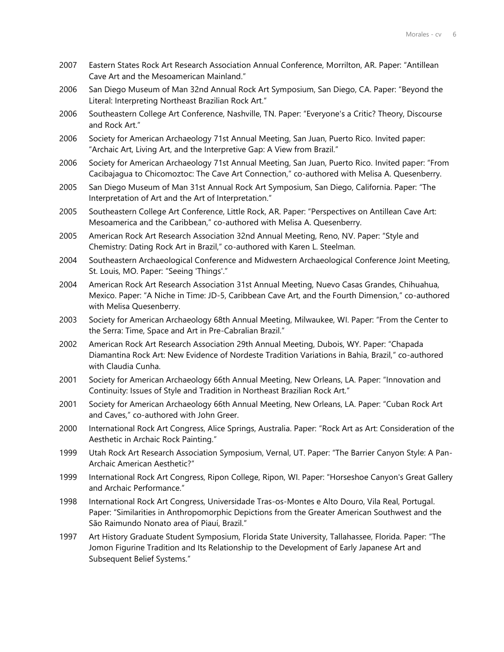- 2007 Eastern States Rock Art Research Association Annual Conference, Morrilton, AR. Paper: "Antillean Cave Art and the Mesoamerican Mainland."
- 2006 San Diego Museum of Man 32nd Annual Rock Art Symposium, San Diego, CA. Paper: "Beyond the Literal: Interpreting Northeast Brazilian Rock Art."
- 2006 Southeastern College Art Conference, Nashville, TN. Paper: "Everyone's a Critic? Theory, Discourse and Rock Art."
- 2006 Society for American Archaeology 71st Annual Meeting, San Juan, Puerto Rico. Invited paper: "Archaic Art, Living Art, and the Interpretive Gap: A View from Brazil."
- 2006 Society for American Archaeology 71st Annual Meeting, San Juan, Puerto Rico. Invited paper: "From Cacibajagua to Chicomoztoc: The Cave Art Connection," co-authored with Melisa A. Quesenberry.
- 2005 San Diego Museum of Man 31st Annual Rock Art Symposium, San Diego, California. Paper: "The Interpretation of Art and the Art of Interpretation."
- 2005 Southeastern College Art Conference, Little Rock, AR. Paper: "Perspectives on Antillean Cave Art: Mesoamerica and the Caribbean," co-authored with Melisa A. Quesenberry.
- 2005 American Rock Art Research Association 32nd Annual Meeting, Reno, NV. Paper: "Style and Chemistry: Dating Rock Art in Brazil," co-authored with Karen L. Steelman.
- 2004 Southeastern Archaeological Conference and Midwestern Archaeological Conference Joint Meeting, St. Louis, MO. Paper: "Seeing 'Things'."
- 2004 American Rock Art Research Association 31st Annual Meeting, Nuevo Casas Grandes, Chihuahua, Mexico. Paper: "A Niche in Time: JD-5, Caribbean Cave Art, and the Fourth Dimension," co-authored with Melisa Quesenberry.
- 2003 Society for American Archaeology 68th Annual Meeting, Milwaukee, WI. Paper: "From the Center to the Serra: Time, Space and Art in Pre-Cabralian Brazil."
- 2002 American Rock Art Research Association 29th Annual Meeting, Dubois, WY. Paper: "Chapada Diamantina Rock Art: New Evidence of Nordeste Tradition Variations in Bahia, Brazil," co-authored with Claudia Cunha.
- 2001 Society for American Archaeology 66th Annual Meeting, New Orleans, LA. Paper: "Innovation and Continuity: Issues of Style and Tradition in Northeast Brazilian Rock Art."
- 2001 Society for American Archaeology 66th Annual Meeting, New Orleans, LA. Paper: "Cuban Rock Art and Caves," co-authored with John Greer.
- 2000 International Rock Art Congress, Alice Springs, Australia. Paper: "Rock Art as Art: Consideration of the Aesthetic in Archaic Rock Painting."
- 1999 Utah Rock Art Research Association Symposium, Vernal, UT. Paper: "The Barrier Canyon Style: A Pan-Archaic American Aesthetic?"
- 1999 International Rock Art Congress, Ripon College, Ripon, WI. Paper: "Horseshoe Canyon's Great Gallery and Archaic Performance."
- 1998 International Rock Art Congress, Universidade Tras-os-Montes e Alto Douro, Vila Real, Portugal. Paper: "Similarities in Anthropomorphic Depictions from the Greater American Southwest and the São Raimundo Nonato area of Piauí, Brazil."
- 1997 Art History Graduate Student Symposium, Florida State University, Tallahassee, Florida. Paper: "The Jomon Figurine Tradition and Its Relationship to the Development of Early Japanese Art and Subsequent Belief Systems."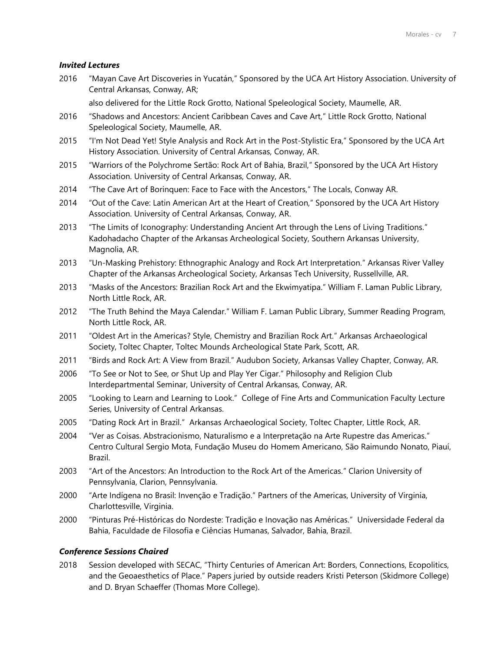### *Invited Lectures*

2016 "Mayan Cave Art Discoveries in Yucatán," Sponsored by the UCA Art History Association. University of Central Arkansas, Conway, AR;

also delivered for the Little Rock Grotto, National Speleological Society, Maumelle, AR.

- 2016 "Shadows and Ancestors: Ancient Caribbean Caves and Cave Art," Little Rock Grotto, National Speleological Society, Maumelle, AR.
- 2015 "I'm Not Dead Yet! Style Analysis and Rock Art in the Post-Stylistic Era," Sponsored by the UCA Art History Association. University of Central Arkansas, Conway, AR.
- 2015 "Warriors of the Polychrome Sertão: Rock Art of Bahia, Brazil," Sponsored by the UCA Art History Association. University of Central Arkansas, Conway, AR.
- 2014 "The Cave Art of Borinquen: Face to Face with the Ancestors," The Locals, Conway AR.
- 2014 "Out of the Cave: Latin American Art at the Heart of Creation," Sponsored by the UCA Art History Association. University of Central Arkansas, Conway, AR.
- 2013 "The Limits of Iconography: Understanding Ancient Art through the Lens of Living Traditions." Kadohadacho Chapter of the Arkansas Archeological Society, Southern Arkansas University, Magnolia, AR.
- 2013 "Un-Masking Prehistory: Ethnographic Analogy and Rock Art Interpretation." Arkansas River Valley Chapter of the Arkansas Archeological Society, Arkansas Tech University, Russellville, AR.
- 2013 "Masks of the Ancestors: Brazilian Rock Art and the Ekwimyatipa." William F. Laman Public Library, North Little Rock, AR.
- 2012 "The Truth Behind the Maya Calendar." William F. Laman Public Library, Summer Reading Program, North Little Rock, AR.
- 2011 "Oldest Art in the Americas? Style, Chemistry and Brazilian Rock Art." Arkansas Archaeological Society, Toltec Chapter, Toltec Mounds Archeological State Park, Scott, AR.
- 2011 "Birds and Rock Art: A View from Brazil." Audubon Society, Arkansas Valley Chapter, Conway, AR.
- 2006 "To See or Not to See, or Shut Up and Play Yer Cigar." Philosophy and Religion Club Interdepartmental Seminar, University of Central Arkansas, Conway, AR.
- 2005 "Looking to Learn and Learning to Look." College of Fine Arts and Communication Faculty Lecture Series, University of Central Arkansas.
- 2005 "Dating Rock Art in Brazil." Arkansas Archaeological Society, Toltec Chapter, Little Rock, AR.
- 2004 "Ver as Coisas. Abstracionismo, Naturalismo e a Interpretação na Arte Rupestre das Americas." Centro Cultural Sergio Mota, Fundação Museu do Homem Americano, São Raimundo Nonato, Piauí, Brazil.
- 2003 "Art of the Ancestors: An Introduction to the Rock Art of the Americas." Clarion University of Pennsylvania, Clarion, Pennsylvania.
- 2000 "Arte Indígena no Brasil: Invenção e Tradição." Partners of the Americas, University of Virginia, Charlottesville, Virginia.
- 2000 "Pinturas Pré-Históricas do Nordeste: Tradição e Inovação nas Américas." Universidade Federal da Bahia, Faculdade de Filosofia e Ciências Humanas, Salvador, Bahia, Brazil.

### *Conference Sessions Chaired*

2018 Session developed with SECAC, "Thirty Centuries of American Art: Borders, Connections, Ecopolitics, and the Geoaesthetics of Place." Papers juried by outside readers Kristi Peterson (Skidmore College) and D. Bryan Schaeffer (Thomas More College).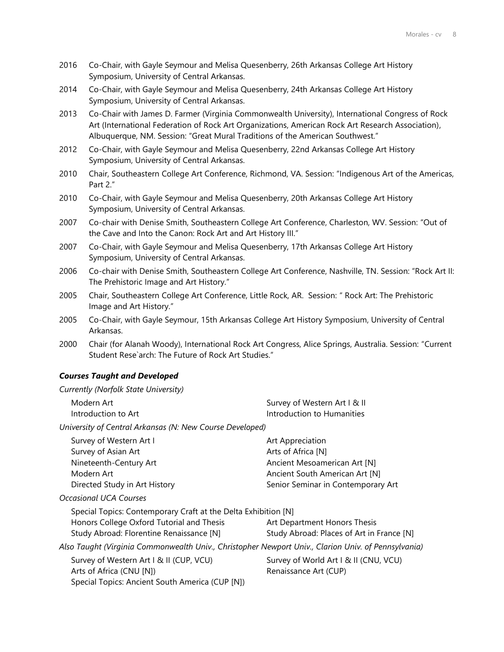- 2016 Co-Chair, with Gayle Seymour and Melisa Quesenberry, 26th Arkansas College Art History Symposium, University of Central Arkansas.
- 2014 Co-Chair, with Gayle Seymour and Melisa Quesenberry, 24th Arkansas College Art History Symposium, University of Central Arkansas.
- 2013 Co-Chair with James D. Farmer (Virginia Commonwealth University), International Congress of Rock Art (International Federation of Rock Art Organizations, American Rock Art Research Association), Albuquerque, NM. Session: "Great Mural Traditions of the American Southwest."
- 2012 Co-Chair, with Gayle Seymour and Melisa Quesenberry, 22nd Arkansas College Art History Symposium, University of Central Arkansas.
- 2010 Chair, Southeastern College Art Conference, Richmond, VA. Session: "Indigenous Art of the Americas, Part 2."
- 2010 Co-Chair, with Gayle Seymour and Melisa Quesenberry, 20th Arkansas College Art History Symposium, University of Central Arkansas.
- 2007 Co-chair with Denise Smith, Southeastern College Art Conference, Charleston, WV. Session: "Out of the Cave and Into the Canon: Rock Art and Art History III."
- 2007 Co-Chair, with Gayle Seymour and Melisa Quesenberry, 17th Arkansas College Art History Symposium, University of Central Arkansas.
- 2006 Co-chair with Denise Smith, Southeastern College Art Conference, Nashville, TN. Session: "Rock Art II: The Prehistoric Image and Art History."
- 2005 Chair, Southeastern College Art Conference, Little Rock, AR. Session: " Rock Art: The Prehistoric Image and Art History."
- 2005 Co-Chair, with Gayle Seymour, 15th Arkansas College Art History Symposium, University of Central Arkansas.
- 2000 Chair (for Alanah Woody), International Rock Art Congress, Alice Springs, Australia. Session: "Current Student Rese`arch: The Future of Rock Art Studies."

## *Courses Taught and Developed*

| Currently (Norfolk State University)                           |                                    |
|----------------------------------------------------------------|------------------------------------|
| Modern Art                                                     | Survey of Western Art   & II       |
| Introduction to Art                                            | Introduction to Humanities         |
| University of Central Arkansas (N: New Course Developed)       |                                    |
| Survey of Western Art I                                        | Art Appreciation                   |
| Survey of Asian Art                                            | Arts of Africa [N]                 |
| Nineteenth-Century Art                                         | Ancient Mesoamerican Art [N]       |
| Modern Art                                                     | Ancient South American Art [N]     |
| Directed Study in Art History                                  | Senior Seminar in Contemporary Art |
| <b>Occasional UCA Courses</b>                                  |                                    |
| Special Topics: Contemporary Craft at the Delta Exhibition [N] |                                    |

| Special Topics. Contemporary Crait at the Delta Exhibition [N]                                      |                                           |
|-----------------------------------------------------------------------------------------------------|-------------------------------------------|
| Honors College Oxford Tutorial and Thesis                                                           | Art Department Honors Thesis              |
| Study Abroad: Florentine Renaissance [N]                                                            | Study Abroad: Places of Art in France [N] |
| Also Taught (Virginia Commonwealth Univ., Christopher Newport Univ., Clarion Univ. of Pennsylvania) |                                           |
| Survey of Western Art I & II (CUP, VCU)                                                             | Survey of World Art I & II (CNU, VCU)     |
| Arts of Africa (CNU [N])                                                                            | Renaissance Art (CUP)                     |
| Special Topics: Ancient South America (CUP [N])                                                     |                                           |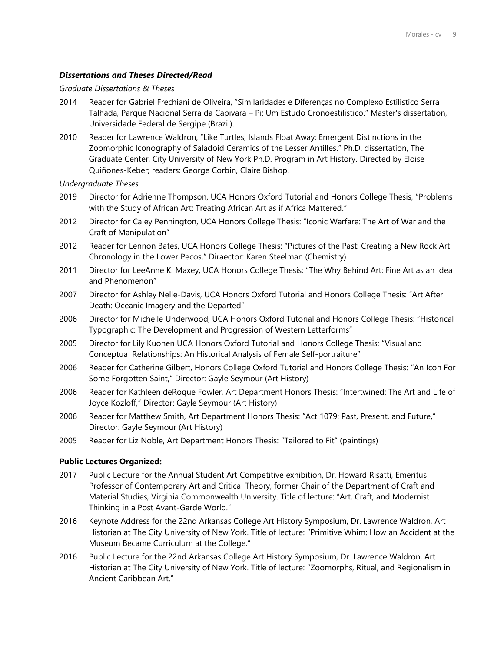### *Dissertations and Theses Directed/Read*

#### *Graduate Dissertations & Theses*

- 2014 Reader for Gabriel Frechiani de Oliveira, "Similaridades e Diferenças no Complexo Estilistico Serra Talhada, Parque Nacional Serra da Capivara – Pi: Um Estudo Cronoestilístico." Master's dissertation, Universidade Federal de Sergipe (Brazil).
- 2010 Reader for Lawrence Waldron, "Like Turtles, Islands Float Away: Emergent Distinctions in the Zoomorphic Iconography of Saladoid Ceramics of the Lesser Antilles." Ph.D. dissertation, The Graduate Center, City University of New York Ph.D. Program in Art History. Directed by Eloise Quiñones-Keber; readers: George Corbin, Claire Bishop.

#### *Undergraduate Theses*

- 2019 Director for Adrienne Thompson, UCA Honors Oxford Tutorial and Honors College Thesis, "Problems with the Study of African Art: Treating African Art as if Africa Mattered."
- 2012 Director for Caley Pennington, UCA Honors College Thesis: "Iconic Warfare: The Art of War and the Craft of Manipulation"
- 2012 Reader for Lennon Bates, UCA Honors College Thesis: "Pictures of the Past: Creating a New Rock Art Chronology in the Lower Pecos," Diraector: Karen Steelman (Chemistry)
- 2011 Director for LeeAnne K. Maxey, UCA Honors College Thesis: "The Why Behind Art: Fine Art as an Idea and Phenomenon"
- 2007 Director for Ashley Nelle-Davis, UCA Honors Oxford Tutorial and Honors College Thesis: "Art After Death: Oceanic Imagery and the Departed"
- 2006 Director for Michelle Underwood, UCA Honors Oxford Tutorial and Honors College Thesis: "Historical Typographic: The Development and Progression of Western Letterforms"
- 2005 Director for Lily Kuonen UCA Honors Oxford Tutorial and Honors College Thesis: "Visual and Conceptual Relationships: An Historical Analysis of Female Self-portraiture"
- 2006 Reader for Catherine Gilbert, Honors College Oxford Tutorial and Honors College Thesis: "An Icon For Some Forgotten Saint," Director: Gayle Seymour (Art History)
- 2006 Reader for Kathleen deRoque Fowler, Art Department Honors Thesis: "Intertwined: The Art and Life of Joyce Kozloff," Director: Gayle Seymour (Art History)
- 2006 Reader for Matthew Smith, Art Department Honors Thesis: "Act 1079: Past, Present, and Future," Director: Gayle Seymour (Art History)
- 2005 Reader for Liz Noble, Art Department Honors Thesis: "Tailored to Fit" (paintings)

### **Public Lectures Organized:**

- 2017 Public Lecture for the Annual Student Art Competitive exhibition, Dr. Howard Risatti, Emeritus Professor of Contemporary Art and Critical Theory, former Chair of the Department of Craft and Material Studies, Virginia Commonwealth University. Title of lecture: "Art, Craft, and Modernist Thinking in a Post Avant-Garde World."
- 2016 Keynote Address for the 22nd Arkansas College Art History Symposium, Dr. Lawrence Waldron, Art Historian at The City University of New York. Title of lecture: "Primitive Whim: How an Accident at the Museum Became Curriculum at the College."
- 2016 Public Lecture for the 22nd Arkansas College Art History Symposium, Dr. Lawrence Waldron, Art Historian at The City University of New York. Title of lecture: "Zoomorphs, Ritual, and Regionalism in Ancient Caribbean Art."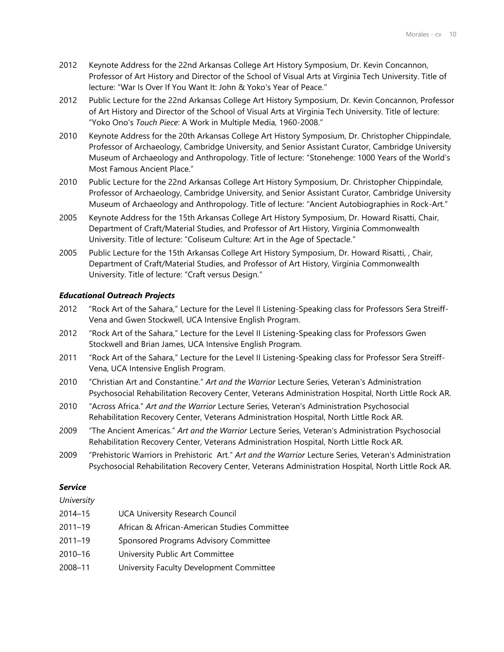- 2012 Keynote Address for the 22nd Arkansas College Art History Symposium, Dr. Kevin Concannon, Professor of Art History and Director of the School of Visual Arts at Virginia Tech University. Title of lecture: "War Is Over If You Want It: John & Yoko's Year of Peace."
- 2012 Public Lecture for the 22nd Arkansas College Art History Symposium, Dr. Kevin Concannon, Professor of Art History and Director of the School of Visual Arts at Virginia Tech University. Title of lecture: "Yoko Ono's *Touch Piece*: A Work in Multiple Media, 1960-2008."
- 2010 Keynote Address for the 20th Arkansas College Art History Symposium, Dr. Christopher Chippindale, Professor of Archaeology, Cambridge University, and Senior Assistant Curator, Cambridge University Museum of Archaeology and Anthropology. Title of lecture: "Stonehenge: 1000 Years of the World's Most Famous Ancient Place."
- 2010 Public Lecture for the 22nd Arkansas College Art History Symposium, Dr. Christopher Chippindale, Professor of Archaeology, Cambridge University, and Senior Assistant Curator, Cambridge University Museum of Archaeology and Anthropology. Title of lecture: "Ancient Autobiographies in Rock-Art."
- 2005 Keynote Address for the 15th Arkansas College Art History Symposium, Dr. Howard Risatti, Chair, Department of Craft/Material Studies, and Professor of Art History, Virginia Commonwealth University. Title of lecture: "Coliseum Culture: Art in the Age of Spectacle."
- 2005 Public Lecture for the 15th Arkansas College Art History Symposium, Dr. Howard Risatti, , Chair, Department of Craft/Material Studies, and Professor of Art History, Virginia Commonwealth University. Title of lecture: "Craft versus Design."

# *Educational Outreach Projects*

- 2012 "Rock Art of the Sahara," Lecture for the Level II Listening-Speaking class for Professors Sera Streiff-Vena and Gwen Stockwell, UCA Intensive English Program.
- 2012 "Rock Art of the Sahara," Lecture for the Level II Listening-Speaking class for Professors Gwen Stockwell and Brian James, UCA Intensive English Program.
- 2011 "Rock Art of the Sahara," Lecture for the Level II Listening-Speaking class for Professor Sera Streiff-Vena, UCA Intensive English Program.
- 2010 "Christian Art and Constantine." *Art and the Warrior* Lecture Series, Veteran's Administration Psychosocial Rehabilitation Recovery Center, Veterans Administration Hospital, North Little Rock AR.
- 2010 "Across Africa." *Art and the Warrior* Lecture Series, Veteran's Administration Psychosocial Rehabilitation Recovery Center, Veterans Administration Hospital, North Little Rock AR.
- 2009 "The Ancient Americas." *Art and the Warrior* Lecture Series, Veteran's Administration Psychosocial Rehabilitation Recovery Center, Veterans Administration Hospital, North Little Rock AR.
- 2009 "Prehistoric Warriors in Prehistoric Art." *Art and the Warrior* Lecture Series, Veteran's Administration Psychosocial Rehabilitation Recovery Center, Veterans Administration Hospital, North Little Rock AR.

## *Service*

## *University*

| 2014–15 | <b>UCA University Research Council</b>       |
|---------|----------------------------------------------|
| 2011–19 | African & African-American Studies Committee |
| 2011-19 | Sponsored Programs Advisory Committee        |
| 2010–16 | University Public Art Committee              |

2008–11 University Faculty Development Committee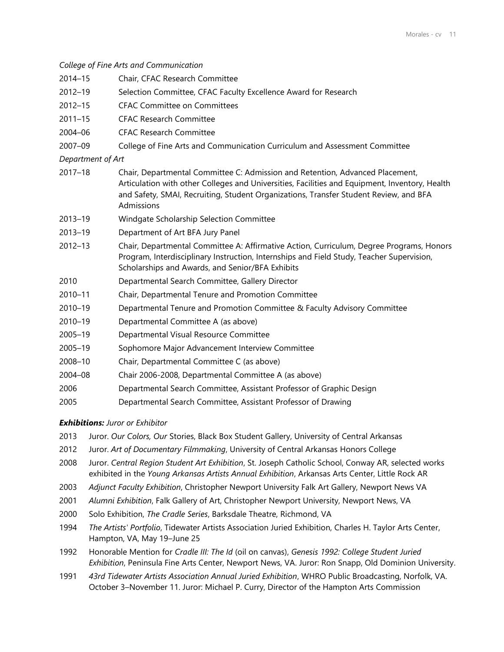*College of Fine Arts and Communication* 2014–15 Chair, CFAC Research Committee

- 
- 2012–19 Selection Committee, CFAC Faculty Excellence Award for Research
- 2012–15 CFAC Committee on Committees
- 2011–15 CFAC Research Committee
- 2004–06 CFAC Research Committee

2007–09 College of Fine Arts and Communication Curriculum and Assessment Committee

*Department of Art*

- 2017–18 Chair, Departmental Committee C: Admission and Retention, Advanced Placement, Articulation with other Colleges and Universities, Facilities and Equipment, Inventory, Health and Safety, SMAI, Recruiting, Student Organizations, Transfer Student Review, and BFA Admissions
- 2013–19 Windgate Scholarship Selection Committee
- 2013–19 Department of Art BFA Jury Panel
- 2012–13 Chair, Departmental Committee A: Affirmative Action, Curriculum, Degree Programs, Honors Program, Interdisciplinary Instruction, Internships and Field Study, Teacher Supervision, Scholarships and Awards, and Senior/BFA Exhibits
- 2010 Departmental Search Committee, Gallery Director
- 2010–11 Chair, Departmental Tenure and Promotion Committee
- 2010–19 Departmental Tenure and Promotion Committee & Faculty Advisory Committee
- 2010–19 Departmental Committee A (as above)
- 2005–19 Departmental Visual Resource Committee
- 2005–19 Sophomore Major Advancement Interview Committee
- 2008–10 Chair, Departmental Committee C (as above)
- 2004–08 Chair 2006-2008, Departmental Committee A (as above)
- 2006 Departmental Search Committee, Assistant Professor of Graphic Design
- 2005 Departmental Search Committee, Assistant Professor of Drawing

*Exhibitions: Juror or Exhibitor*

- 2013 Juror. *Our Colors, Our* Stories, Black Box Student Gallery, University of Central Arkansas
- 2012 Juror. *Art of Documentary Filmmaking*, University of Central Arkansas Honors College
- 2008 Juror. *Central Region Student Art Exhibition*, St. Joseph Catholic School, Conway AR, selected works exhibited in the *Young Arkansas Artists Annual Exhibition*, Arkansas Arts Center, Little Rock AR
- 2003 *Adjunct Faculty Exhibition*, Christopher Newport University Falk Art Gallery, Newport News VA
- 2001 *Alumni Exhibition*, Falk Gallery of Art, Christopher Newport University, Newport News, VA
- 2000 Solo Exhibition, *The Cradle Series*, Barksdale Theatre, Richmond, VA
- 1994 *The Artists' Portfolio*, Tidewater Artists Association Juried Exhibition, Charles H. Taylor Arts Center, Hampton, VA, May 19–June 25
- 1992 Honorable Mention for *Cradle III: The Id* (oil on canvas), *Genesis 1992: College Student Juried Exhibition*, Peninsula Fine Arts Center, Newport News, VA. Juror: Ron Snapp, Old Dominion University.
- 1991 *43rd Tidewater Artists Association Annual Juried Exhibition*, WHRO Public Broadcasting, Norfolk, VA. October 3–November 11. Juror: Michael P. Curry, Director of the Hampton Arts Commission